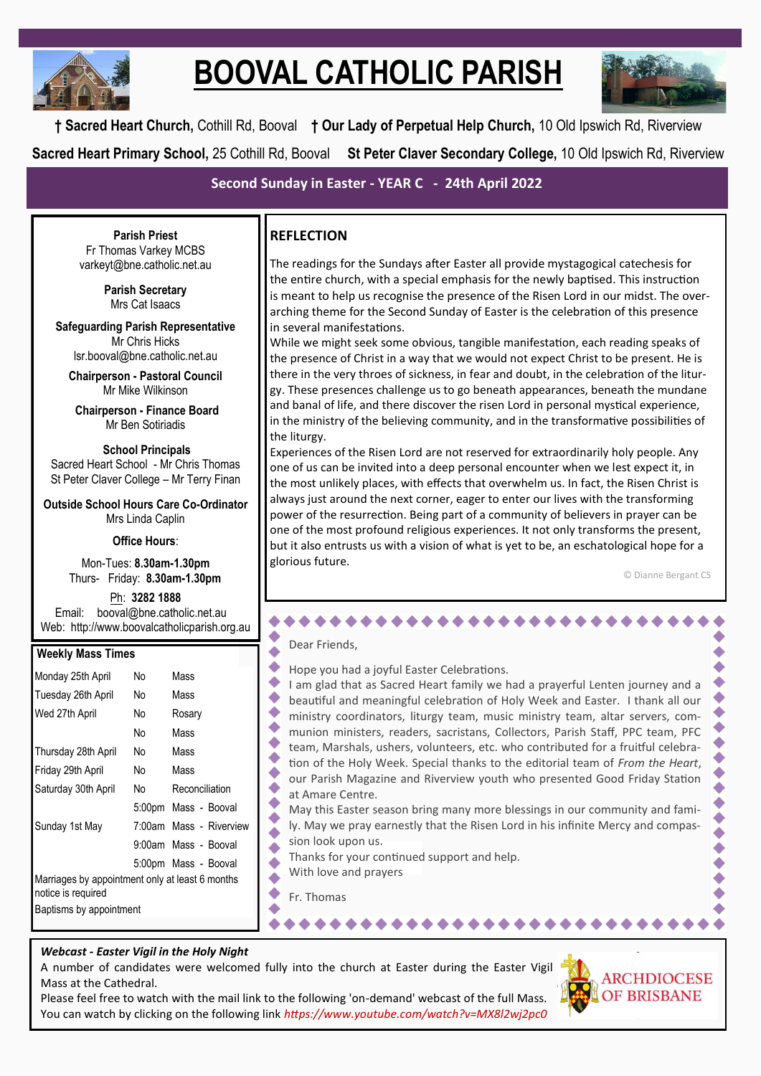

# **BOOVAL CATHOLIC PARISH**



**† Sacred Heart Church,** Cothill Rd, Booval **† Our Lady of Perpetual Help Church,** 10 Old Ipswich Rd, Riverview **Sacred Heart Primary School,** 25 Cothill Rd, Booval **St Peter Claver Secondary College,** 10 Old Ipswich Rd, Riverview

**Second Sunday in Easter - YEAR C - 24th April 2022**

**Parish Priest** Fr Thomas Varkey MCBS varkeyt@bne.catholic.net.au

> **Parish Secretary** Mrs Cat Isaacs

**Safeguarding Parish Representative** Mr Chris Hicks [lsr.booval@bne.catholic.net.au](mailto:lsr.booval@bne.catholi.net.au)

**Chairperson - Pastoral Council** Mr Mike Wilkinson

**Chairperson - Finance Board** Mr Ben Sotiriadis

**School Principals** Sacred Heart School - Mr Chris Thomas St Peter Claver College – Mr Terry Finan

**Outside School Hours Care Co-Ordinator** Mrs Linda Caplin

**Office Hours**:

Mon-Tues: **8.30am-1.30pm** Thurs- Friday: **8.30am-1.30pm**

Ph: **3282 1888**  Email: booval@bne.catholic.net.au Web: http://www.boovalcatholicparish.org.au

## **Weekly Mass Times**

| Monday 25th April                                                     | No. | Mass                    |
|-----------------------------------------------------------------------|-----|-------------------------|
| Tuesday 26th April                                                    | No. | Mass                    |
| Wed 27th April                                                        | N٥  | Rosary                  |
|                                                                       | No. | Mass                    |
| Thursday 28th April                                                   | N٥  | Mass                    |
| Friday 29th April                                                     | No. | Mass                    |
| Saturday 30th April                                                   | No. | Reconciliation          |
|                                                                       |     | 5:00pm Mass - Booval    |
| Sunday 1st May                                                        |     | 7:00am Mass - Riverview |
|                                                                       |     | 9:00am Mass - Booval    |
|                                                                       |     | 5:00pm Mass - Booval    |
| Marriages by appointment only at least 6 months<br>notice is required |     |                         |
| Baptisms by appointment                                               |     |                         |
|                                                                       |     |                         |

# **REFLECTION**

The readings for the Sundays after Easter all provide mystagogical catechesis for the entire church, with a special emphasis for the newly baptised. This instruction is meant to help us recognise the presence of the Risen Lord in our midst. The overarching theme for the Second Sunday of Easter is the celebration of this presence in several manifestations.

While we might seek some obvious, tangible manifestation, each reading speaks of the presence of Christ in a way that we would not expect Christ to be present. He is there in the very throes of sickness, in fear and doubt, in the celebration of the liturgy. These presences challenge us to go beneath appearances, beneath the mundane and banal of life, and there discover the risen Lord in personal mystical experience, in the ministry of the believing community, and in the transformative possibilities of the liturgy.

Experiences of the Risen Lord are not reserved for extraordinarily holy people. Any one of us can be invited into a deep personal encounter when we lest expect it, in the most unlikely places, with effects that overwhelm us. In fact, the Risen Christ is always just around the next corner, eager to enter our lives with the transforming power of the resurrection. Being part of a community of believers in prayer can be one of the most profound religious experiences. It not only transforms the present, but it also entrusts us with a vision of what is yet to be, an eschatological hope for a glorious future.

\*\*\*\*\*\*\*\*\*\*\*\*\*\*\*\*\*\*\*\*\*\*\*

© Dianne Bergant CS

#### Dear Friends,

٠

Hope you had a joyful Easter Celebrations.

I am glad that as Sacred Heart family we had a prayerful Lenten journey and a beautiful and meaningful celebration of Holy Week and Easter. I thank all our ministry coordinators, liturgy team, music ministry team, altar servers, communion ministers, readers, sacristans, Collectors, Parish Staff, PPC team, PFC team, Marshals, ushers, volunteers, etc. who contributed for a fruitful celebration of the Holy Week. Special thanks to the editorial team of *From the Heart*, our Parish Magazine and Riverview youth who presented Good Friday Station at Amare Centre.

May this Easter season bring many more blessings in our community and family. May we pray earnestly that the Risen Lord in his infinite Mercy and compassion look upon us.

\*\*\*\*\*\*\*\*\*\*\*\*\*\*\*\*\*\*\*\*\*

Thanks for your continued support and help.

- With love and prayers
- Fr. Thomas

*Webcast - Easter Vigil in the Holy Night* 

A number of candidates were welcomed fully into the church at Easter during the Easter Vigil Mass at the Cathedral.